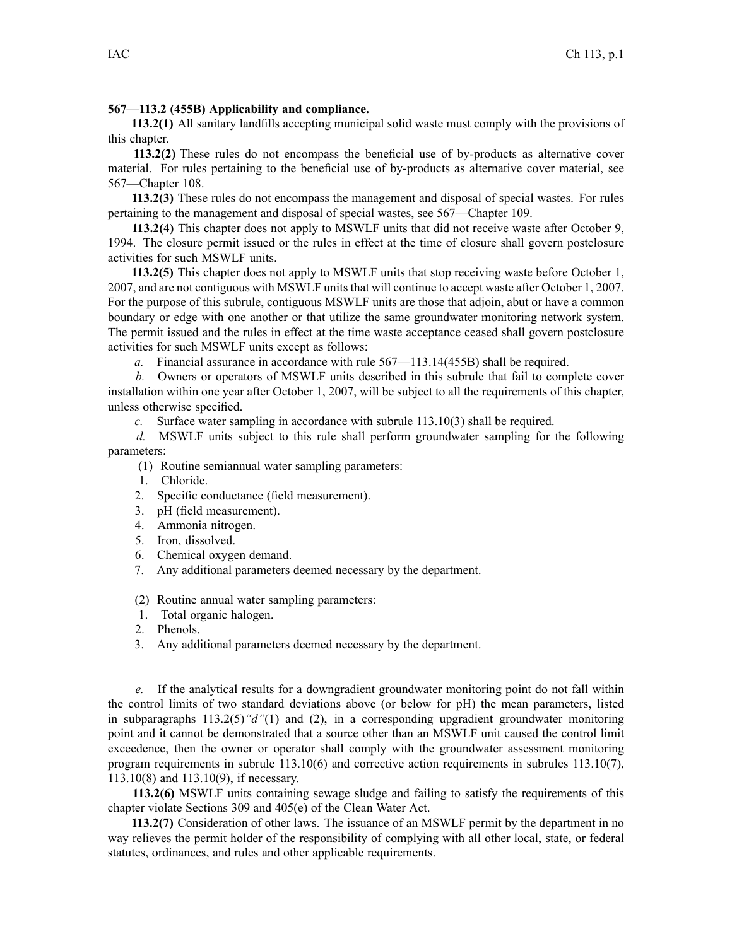## **567—113.2 (455B) Applicability and compliance.**

**113.2(1)** All sanitary landfills accepting municipal solid waste must comply with the provisions of this chapter.

**113.2(2)** These rules do not encompass the beneficial use of by-products as alternative cover material. For rules pertaining to the beneficial use of by-products as alternative cover material, see 567—Chapter 108.

**113.2(3)** These rules do not encompass the managemen<sup>t</sup> and disposal of special wastes. For rules pertaining to the managemen<sup>t</sup> and disposal of special wastes, see 567—Chapter 109.

**113.2(4)** This chapter does not apply to MSWLF units that did not receive waste after October 9, 1994. The closure permit issued or the rules in effect at the time of closure shall govern postclosure activities for such MSWLF units.

**113.2(5)** This chapter does not apply to MSWLF units that stop receiving waste before October 1, 2007, and are not contiguous with MSWLF unitsthat will continue to accep<sup>t</sup> waste after October 1, 2007. For the purpose of this subrule, contiguous MSWLF units are those that adjoin, abut or have <sup>a</sup> common boundary or edge with one another or that utilize the same groundwater monitoring network system. The permit issued and the rules in effect at the time waste acceptance ceased shall govern postclosure activities for such MSWLF units excep<sup>t</sup> as follows:

*a.* Financial assurance in accordance with rule 567—113.14(455B) shall be required.

*b.* Owners or operators of MSWLF units described in this subrule that fail to complete cover installation within one year after October 1, 2007, will be subject to all the requirements of this chapter, unless otherwise specified.

*c.* Surface water sampling in accordance with subrule 113.10(3) shall be required.

*d.* MSWLF units subject to this rule shall perform groundwater sampling for the following parameters:

(1) Routine semiannual water sampling parameters:

- 1. Chloride.
- 2. Specific conductance (field measurement).
- 3. pH (field measurement).
- 4. Ammonia nitrogen.
- 5. Iron, dissolved.
- 6. Chemical oxygen demand.
- 7. Any additional parameters deemed necessary by the department.

(2) Routine annual water sampling parameters:

- 1. Total organic halogen.
- 2. Phenols.
- 3. Any additional parameters deemed necessary by the department.

*e.* If the analytical results for <sup>a</sup> downgradient groundwater monitoring point do not fall within the control limits of two standard deviations above (or below for pH) the mean parameters, listed in subparagraphs 113.2(5)*"d"*(1) and (2), in <sup>a</sup> corresponding upgradient groundwater monitoring point and it cannot be demonstrated that <sup>a</sup> source other than an MSWLF unit caused the control limit exceedence, then the owner or operator shall comply with the groundwater assessment monitoring program requirements in subrule 113.10(6) and corrective action requirements in subrules 113.10(7), 113.10(8) and 113.10(9), if necessary.

**113.2(6)** MSWLF units containing sewage sludge and failing to satisfy the requirements of this chapter violate Sections 309 and 405(e) of the Clean Water Act.

**113.2(7)** Consideration of other laws. The issuance of an MSWLF permit by the department in no way relieves the permit holder of the responsibility of complying with all other local, state, or federal statutes, ordinances, and rules and other applicable requirements.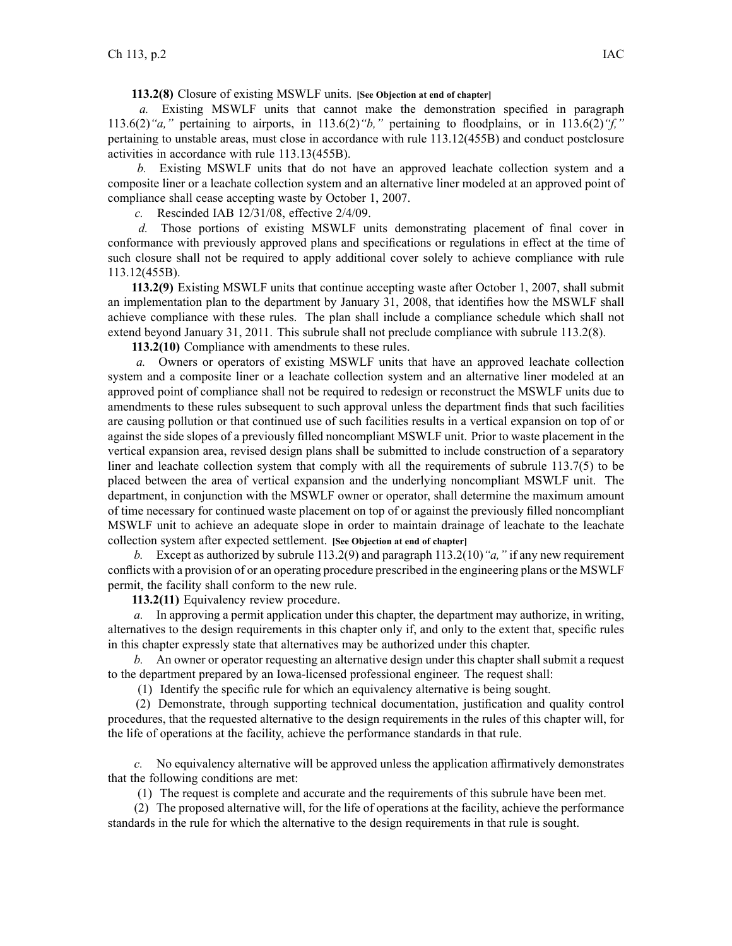**113.2(8)** Closure of existing MSWLF units. **[See Objection at end of chapter]**

*a.* Existing MSWLF units that cannot make the demonstration specified in paragraph 113.6(2)*"a,"* pertaining to airports, in 113.6(2)*"b,"* pertaining to floodplains, or in 113.6(2)*"f,"* pertaining to unstable areas, must close in accordance with rule 113.12(455B) and conduct postclosure activities in accordance with rule 113.13(455B).

*b.* Existing MSWLF units that do not have an approved leachate collection system and <sup>a</sup> composite liner or <sup>a</sup> leachate collection system and an alternative liner modeled at an approved point of compliance shall cease accepting waste by October 1, 2007.

*c.* Rescinded IAB 12/31/08, effective 2/4/09.

*d.* Those portions of existing MSWLF units demonstrating placement of final cover in conformance with previously approved plans and specifications or regulations in effect at the time of such closure shall not be required to apply additional cover solely to achieve compliance with rule 113.12(455B).

**113.2(9)** Existing MSWLF units that continue accepting waste after October 1, 2007, shall submit an implementation plan to the department by January 31, 2008, that identifies how the MSWLF shall achieve compliance with these rules. The plan shall include <sup>a</sup> compliance schedule which shall not extend beyond January 31, 2011. This subrule shall not preclude compliance with subrule 113.2(8).

**113.2(10)** Compliance with amendments to these rules.

*a.* Owners or operators of existing MSWLF units that have an approved leachate collection system and <sup>a</sup> composite liner or <sup>a</sup> leachate collection system and an alternative liner modeled at an approved point of compliance shall not be required to redesign or reconstruct the MSWLF units due to amendments to these rules subsequent to such approval unless the department finds that such facilities are causing pollution or that continued use of such facilities results in <sup>a</sup> vertical expansion on top of or against the side slopes of <sup>a</sup> previously filled noncompliant MSWLF unit. Prior to waste placement in the vertical expansion area, revised design plans shall be submitted to include construction of <sup>a</sup> separatory liner and leachate collection system that comply with all the requirements of subrule 113.7(5) to be placed between the area of vertical expansion and the underlying noncompliant MSWLF unit. The department, in conjunction with the MSWLF owner or operator, shall determine the maximum amount of time necessary for continued waste placement on top of or against the previously filled noncompliant MSWLF unit to achieve an adequate slope in order to maintain drainage of leachate to the leachate collection system after expected settlement. **[See Objection at end of chapter]**

*b.* Except as authorized by subrule 113.2(9) and paragraph 113.2(10)*"a,"* if any new requirement conflicts with <sup>a</sup> provision of or an operating procedure prescribed in the engineering plans or the MSWLF permit, the facility shall conform to the new rule.

**113.2(11)** Equivalency review procedure.

*a.* In approving <sup>a</sup> permit application under this chapter, the department may authorize, in writing, alternatives to the design requirements in this chapter only if, and only to the extent that, specific rules in this chapter expressly state that alternatives may be authorized under this chapter.

*b.* An owner or operator requesting an alternative design under this chapter shall submit <sup>a</sup> reques<sup>t</sup> to the department prepared by an Iowa-licensed professional engineer. The reques<sup>t</sup> shall:

(1) Identify the specific rule for which an equivalency alternative is being sought.

(2) Demonstrate, through supporting technical documentation, justification and quality control procedures, that the requested alternative to the design requirements in the rules of this chapter will, for the life of operations at the facility, achieve the performance standards in that rule.

*c.* No equivalency alternative will be approved unless the application affirmatively demonstrates that the following conditions are met:

(1) The reques<sup>t</sup> is complete and accurate and the requirements of this subrule have been met.

(2) The proposed alternative will, for the life of operations at the facility, achieve the performance standards in the rule for which the alternative to the design requirements in that rule is sought.